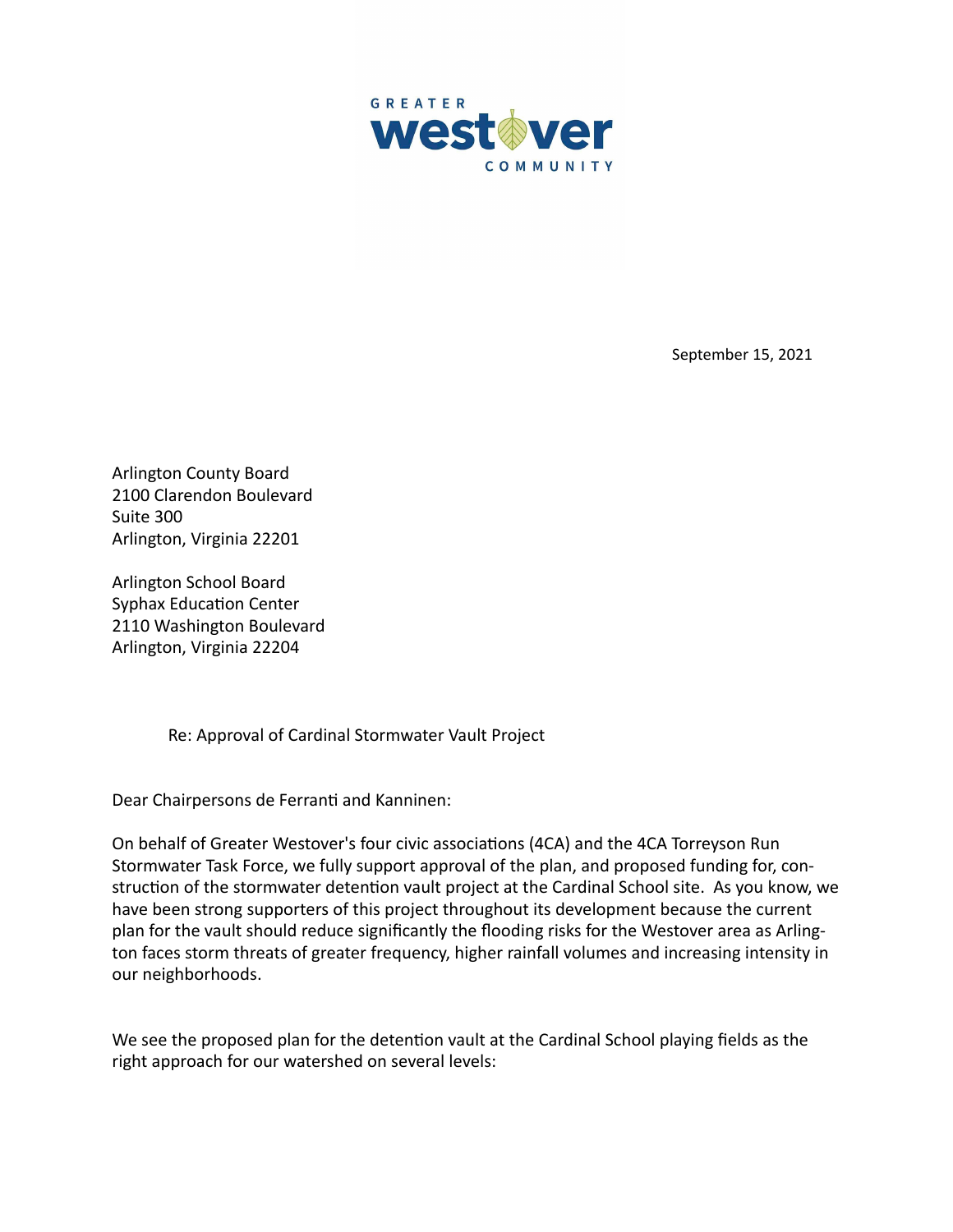

September 15, 2021

Arlington County Board 2100 Clarendon Boulevard Suite 300 Arlington, Virginia 22201

Arlington School Board Syphax Education Center 2110 Washington Boulevard Arlington, Virginia 22204

## Re: Approval of Cardinal Stormwater Vault Project

Dear Chairpersons de Ferranti and Kanninen:

On behalf of Greater Westover's four civic associations (4CA) and the 4CA Torreyson Run Stormwater Task Force, we fully support approval of the plan, and proposed funding for, construction of the stormwater detention vault project at the Cardinal School site. As you know, we have been strong supporters of this project throughout its development because the current plan for the vault should reduce significantly the flooding risks for the Westover area as Arlington faces storm threats of greater frequency, higher rainfall volumes and increasing intensity in our neighborhoods.

We see the proposed plan for the detention vault at the Cardinal School playing fields as the right approach for our watershed on several levels: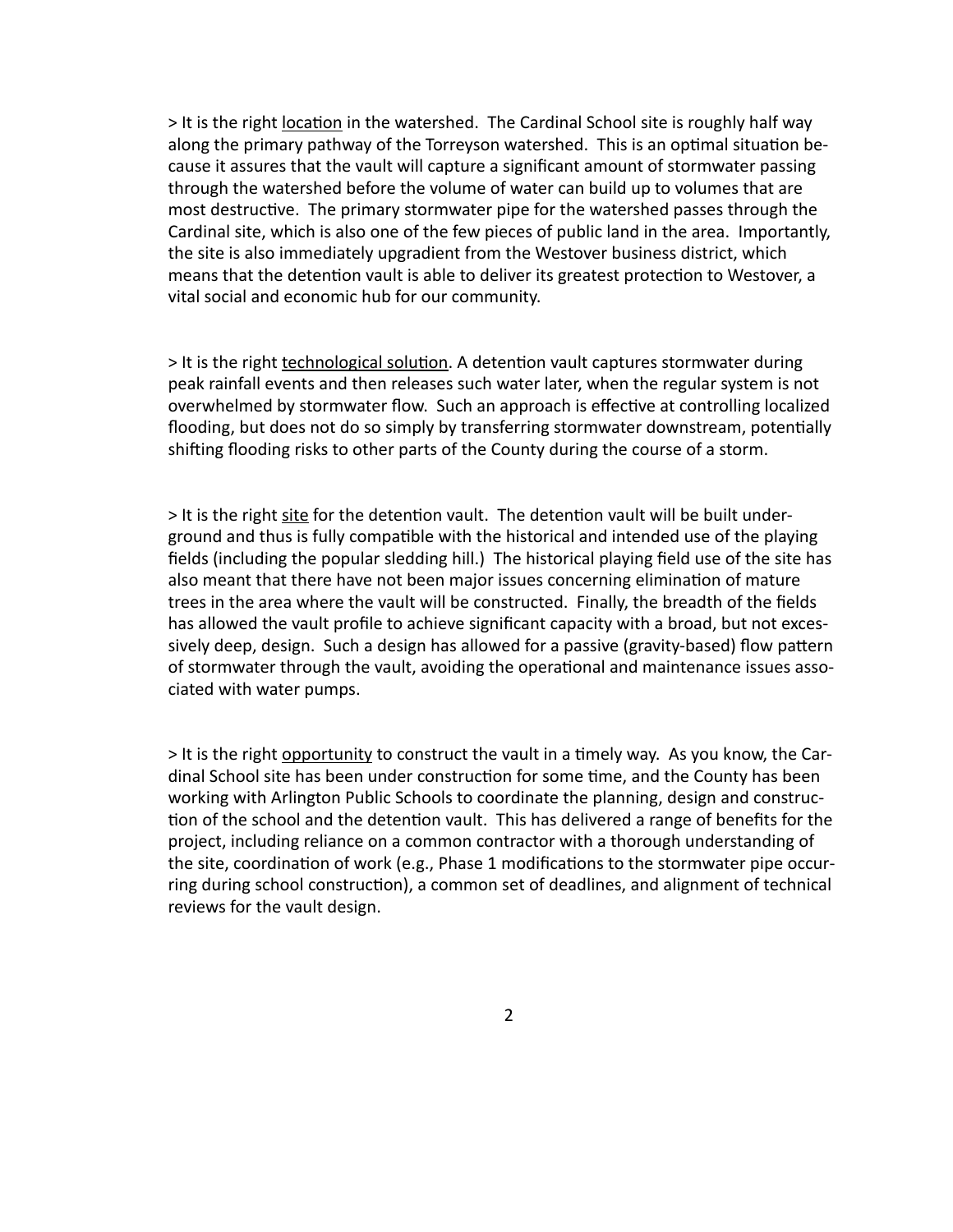$>$  It is the right location in the watershed. The Cardinal School site is roughly half way along the primary pathway of the Torreyson watershed. This is an optimal situation because it assures that the vault will capture a significant amount of stormwater passing through the watershed before the volume of water can build up to volumes that are most destructive. The primary stormwater pipe for the watershed passes through the Cardinal site, which is also one of the few pieces of public land in the area. Importantly, the site is also immediately upgradient from the Westover business district, which means that the detention vault is able to deliver its greatest protection to Westover, a vital social and economic hub for our community.

> It is the right technological solution. A detention vault captures stormwater during peak rainfall events and then releases such water later, when the regular system is not overwhelmed by stormwater flow. Such an approach is effective at controlling localized flooding, but does not do so simply by transferring stormwater downstream, potentially shifting flooding risks to other parts of the County during the course of a storm.

> It is the right site for the detention vault. The detention vault will be built underground and thus is fully compatible with the historical and intended use of the playing fields (including the popular sledding hill.) The historical playing field use of the site has also meant that there have not been major issues concerning elimination of mature trees in the area where the vault will be constructed. Finally, the breadth of the fields has allowed the vault profile to achieve significant capacity with a broad, but not excessively deep, design. Such a design has allowed for a passive (gravity-based) flow pattern of stormwater through the vault, avoiding the operational and maintenance issues associated with water pumps.

 $>$  It is the right opportunity to construct the vault in a timely way. As you know, the Cardinal School site has been under construction for some time, and the County has been working with Arlington Public Schools to coordinate the planning, design and construction of the school and the detention vault. This has delivered a range of benefits for the project, including reliance on a common contractor with a thorough understanding of the site, coordination of work (e.g., Phase 1 modifications to the stormwater pipe occurring during school construction), a common set of deadlines, and alignment of technical reviews for the vault design.